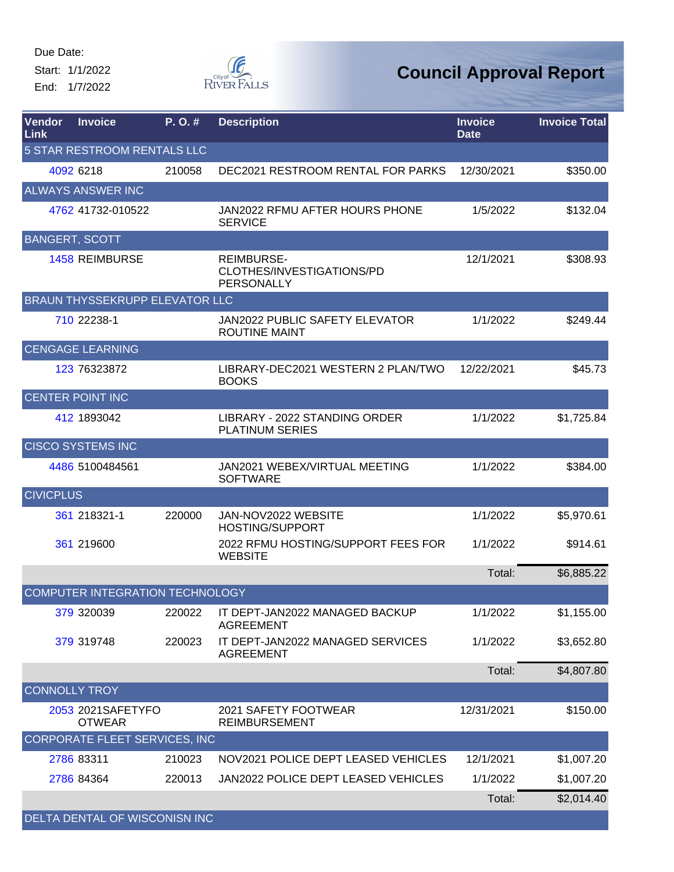Start: 1/1/2022 End: 1/7/2022



| <b>Vendor</b><br>Link | <b>Invoice</b>                         | P. O. # | <b>Description</b>                                           | <b>Invoice</b><br><b>Date</b> | <b>Invoice Total</b> |
|-----------------------|----------------------------------------|---------|--------------------------------------------------------------|-------------------------------|----------------------|
|                       | 5 STAR RESTROOM RENTALS LLC            |         |                                                              |                               |                      |
|                       | 4092 6218                              | 210058  | DEC2021 RESTROOM RENTAL FOR PARKS                            | 12/30/2021                    | \$350.00             |
|                       | <b>ALWAYS ANSWER INC</b>               |         |                                                              |                               |                      |
|                       | 4762 41732-010522                      |         | JAN2022 RFMU AFTER HOURS PHONE<br><b>SERVICE</b>             | 1/5/2022                      | \$132.04             |
|                       | <b>BANGERT, SCOTT</b>                  |         |                                                              |                               |                      |
|                       | <b>1458 REIMBURSE</b>                  |         | <b>REIMBURSE-</b><br>CLOTHES/INVESTIGATIONS/PD<br>PERSONALLY | 12/1/2021                     | \$308.93             |
|                       | <b>BRAUN THYSSEKRUPP ELEVATOR LLC</b>  |         |                                                              |                               |                      |
|                       | 710 22238-1                            |         | JAN2022 PUBLIC SAFETY ELEVATOR<br><b>ROUTINE MAINT</b>       | 1/1/2022                      | \$249.44             |
|                       | <b>CENGAGE LEARNING</b>                |         |                                                              |                               |                      |
|                       | 123 76323872                           |         | LIBRARY-DEC2021 WESTERN 2 PLAN/TWO<br><b>BOOKS</b>           | 12/22/2021                    | \$45.73              |
|                       | <b>CENTER POINT INC</b>                |         |                                                              |                               |                      |
|                       | 412 1893042                            |         | LIBRARY - 2022 STANDING ORDER<br><b>PLATINUM SERIES</b>      | 1/1/2022                      | \$1,725.84           |
|                       | <b>CISCO SYSTEMS INC</b>               |         |                                                              |                               |                      |
|                       | 4486 5100484561                        |         | JAN2021 WEBEX/VIRTUAL MEETING<br><b>SOFTWARE</b>             | 1/1/2022                      | \$384.00             |
| <b>CIVICPLUS</b>      |                                        |         |                                                              |                               |                      |
|                       | 361 218321-1                           | 220000  | JAN-NOV2022 WEBSITE<br><b>HOSTING/SUPPORT</b>                | 1/1/2022                      | \$5,970.61           |
|                       | 361 219600                             |         | 2022 RFMU HOSTING/SUPPORT FEES FOR<br><b>WEBSITE</b>         | 1/1/2022                      | \$914.61             |
|                       |                                        |         |                                                              | Total:                        | \$6,885.22           |
|                       | <b>COMPUTER INTEGRATION TECHNOLOGY</b> |         |                                                              |                               |                      |
|                       | 379 320039                             | 220022  | IT DEPT-JAN2022 MANAGED BACKUP<br><b>AGREEMENT</b>           | 1/1/2022                      | \$1,155.00           |
|                       | 379 319748                             | 220023  | IT DEPT-JAN2022 MANAGED SERVICES<br><b>AGREEMENT</b>         | 1/1/2022                      | \$3,652.80           |
|                       |                                        |         |                                                              | Total:                        | \$4,807.80           |
|                       | <b>CONNOLLY TROY</b>                   |         |                                                              |                               |                      |
|                       | 2053 2021SAFETYFO<br><b>OTWEAR</b>     |         | 2021 SAFETY FOOTWEAR<br><b>REIMBURSEMENT</b>                 | 12/31/2021                    | \$150.00             |
|                       | CORPORATE FLEET SERVICES, INC          |         |                                                              |                               |                      |
|                       | 2786 83311                             | 210023  | NOV2021 POLICE DEPT LEASED VEHICLES                          | 12/1/2021                     | \$1,007.20           |
|                       | 2786 84364                             | 220013  | JAN2022 POLICE DEPT LEASED VEHICLES                          | 1/1/2022                      | \$1,007.20           |
|                       |                                        |         |                                                              | Total:                        | \$2,014.40           |
|                       | DELTA DENTAL OF WISCONISN INC          |         |                                                              |                               |                      |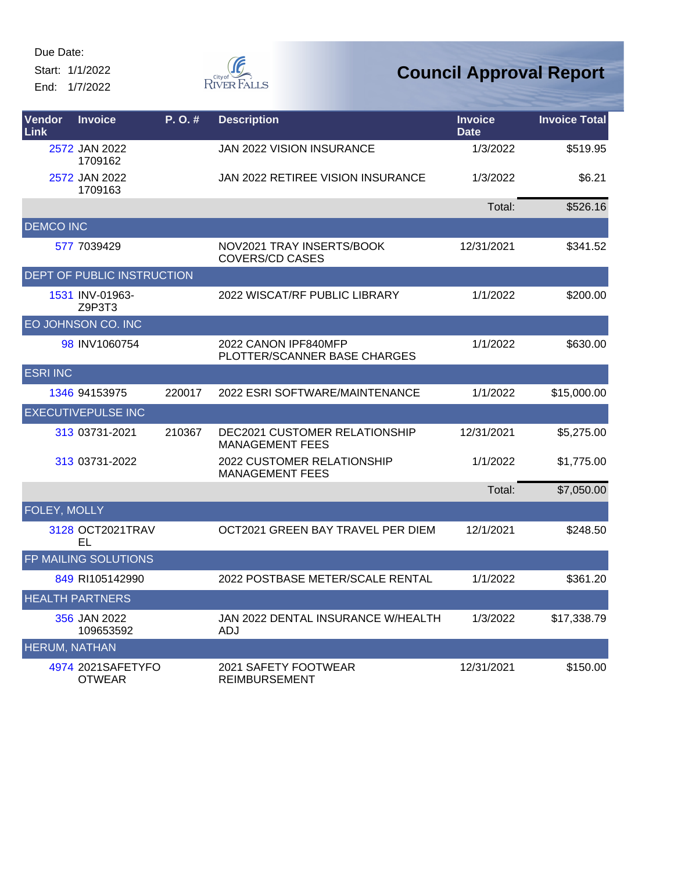Start: 1/1/2022 End: 1/7/2022



| Vendor<br>Link       | <b>Invoice</b>                     | P. O. # | <b>Description</b>                                             | <b>Invoice</b><br><b>Date</b> | <b>Invoice Total</b> |
|----------------------|------------------------------------|---------|----------------------------------------------------------------|-------------------------------|----------------------|
|                      | 2572 JAN 2022<br>1709162           |         | <b>JAN 2022 VISION INSURANCE</b>                               | 1/3/2022                      | \$519.95             |
|                      | 2572 JAN 2022<br>1709163           |         | JAN 2022 RETIREE VISION INSURANCE                              | 1/3/2022                      | \$6.21               |
|                      |                                    |         |                                                                | Total:                        | \$526.16             |
| <b>DEMCO INC</b>     |                                    |         |                                                                |                               |                      |
|                      | 577 7039429                        |         | NOV2021 TRAY INSERTS/BOOK<br><b>COVERS/CD CASES</b>            | 12/31/2021                    | \$341.52             |
|                      | DEPT OF PUBLIC INSTRUCTION         |         |                                                                |                               |                      |
|                      | 1531 INV-01963-<br>Z9P3T3          |         | 2022 WISCAT/RF PUBLIC LIBRARY                                  | 1/1/2022                      | \$200.00             |
|                      | EO JOHNSON CO. INC                 |         |                                                                |                               |                      |
|                      | 98 INV1060754                      |         | 2022 CANON IPF840MFP<br>PLOTTER/SCANNER BASE CHARGES           | 1/1/2022                      | \$630.00             |
| <b>ESRI INC</b>      |                                    |         |                                                                |                               |                      |
|                      | 1346 94153975                      | 220017  | 2022 ESRI SOFTWARE/MAINTENANCE                                 | 1/1/2022                      | \$15,000.00          |
|                      | <b>EXECUTIVEPULSE INC</b>          |         |                                                                |                               |                      |
|                      | 313 03731-2021                     | 210367  | <b>DEC2021 CUSTOMER RELATIONSHIP</b><br><b>MANAGEMENT FEES</b> | 12/31/2021                    | \$5,275.00           |
|                      | 313 03731-2022                     |         | 2022 CUSTOMER RELATIONSHIP<br><b>MANAGEMENT FEES</b>           | 1/1/2022                      | \$1,775.00           |
|                      |                                    |         |                                                                | Total:                        | \$7,050.00           |
| FOLEY, MOLLY         |                                    |         |                                                                |                               |                      |
|                      | 3128 OCT2021TRAV<br>EL             |         | OCT2021 GREEN BAY TRAVEL PER DIEM                              | 12/1/2021                     | \$248.50             |
|                      | FP MAILING SOLUTIONS               |         |                                                                |                               |                      |
|                      | 849 RI105142990                    |         | 2022 POSTBASE METER/SCALE RENTAL                               | 1/1/2022                      | \$361.20             |
|                      | <b>HEALTH PARTNERS</b>             |         |                                                                |                               |                      |
|                      | 356 JAN 2022<br>109653592          |         | JAN 2022 DENTAL INSURANCE W/HEALTH<br>ADJ                      | 1/3/2022                      | \$17,338.79          |
| <b>HERUM, NATHAN</b> |                                    |         |                                                                |                               |                      |
|                      | 4974 2021SAFETYFO<br><b>OTWEAR</b> |         | 2021 SAFETY FOOTWEAR<br><b>REIMBURSEMENT</b>                   | 12/31/2021                    | \$150.00             |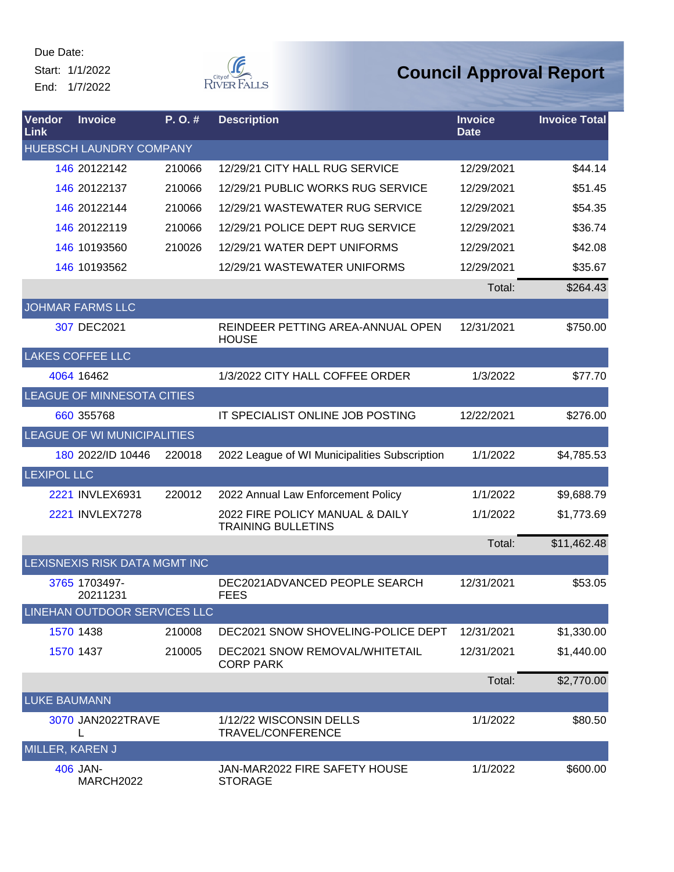Start: 1/1/2022 End: 1/7/2022



| Vendor<br>Link      | <b>Invoice</b>                 | $P. O.$ # | <b>Description</b>                                           | <b>Invoice</b><br><b>Date</b> | <b>Invoice Total</b> |
|---------------------|--------------------------------|-----------|--------------------------------------------------------------|-------------------------------|----------------------|
|                     | <b>HUEBSCH LAUNDRY COMPANY</b> |           |                                                              |                               |                      |
|                     | 146 20122142                   | 210066    | 12/29/21 CITY HALL RUG SERVICE                               | 12/29/2021                    | \$44.14              |
|                     | 146 20122137                   | 210066    | 12/29/21 PUBLIC WORKS RUG SERVICE                            | 12/29/2021                    | \$51.45              |
|                     | 146 20122144                   | 210066    | 12/29/21 WASTEWATER RUG SERVICE                              | 12/29/2021                    | \$54.35              |
|                     | 146 20122119                   | 210066    | 12/29/21 POLICE DEPT RUG SERVICE                             | 12/29/2021                    | \$36.74              |
|                     | 146 10193560                   | 210026    | 12/29/21 WATER DEPT UNIFORMS                                 | 12/29/2021                    | \$42.08              |
|                     | 146 10193562                   |           | 12/29/21 WASTEWATER UNIFORMS                                 | 12/29/2021                    | \$35.67              |
|                     |                                |           |                                                              | Total:                        | \$264.43             |
|                     | <b>JOHMAR FARMS LLC</b>        |           |                                                              |                               |                      |
|                     | 307 DEC2021                    |           | REINDEER PETTING AREA-ANNUAL OPEN<br><b>HOUSE</b>            | 12/31/2021                    | \$750.00             |
|                     | <b>LAKES COFFEE LLC</b>        |           |                                                              |                               |                      |
|                     | 4064 16462                     |           | 1/3/2022 CITY HALL COFFEE ORDER                              | 1/3/2022                      | \$77.70              |
|                     | LEAGUE OF MINNESOTA CITIES     |           |                                                              |                               |                      |
|                     | 660 355768                     |           | IT SPECIALIST ONLINE JOB POSTING                             | 12/22/2021                    | \$276.00             |
|                     | LEAGUE OF WI MUNICIPALITIES    |           |                                                              |                               |                      |
|                     | 180 2022/ID 10446              | 220018    | 2022 League of WI Municipalities Subscription                | 1/1/2022                      | \$4,785.53           |
| <b>LEXIPOL LLC</b>  |                                |           |                                                              |                               |                      |
|                     | 2221 INVLEX6931                | 220012    | 2022 Annual Law Enforcement Policy                           | 1/1/2022                      | \$9,688.79           |
|                     | 2221 INVLEX7278                |           | 2022 FIRE POLICY MANUAL & DAILY<br><b>TRAINING BULLETINS</b> | 1/1/2022                      | \$1,773.69           |
|                     |                                |           |                                                              | Total:                        | \$11,462.48          |
|                     | LEXISNEXIS RISK DATA MGMT INC  |           |                                                              |                               |                      |
|                     | 3765 1703497-<br>20211231      |           | DEC2021ADVANCED PEOPLE SEARCH<br><b>FEES</b>                 | 12/31/2021                    | \$53.05              |
|                     | LINEHAN OUTDOOR SERVICES LLC   |           |                                                              |                               |                      |
|                     | 1570 1438                      | 210008    | DEC2021 SNOW SHOVELING-POLICE DEPT                           | 12/31/2021                    | \$1,330.00           |
|                     | 1570 1437                      | 210005    | DEC2021 SNOW REMOVAL/WHITETAIL<br><b>CORP PARK</b>           | 12/31/2021                    | \$1,440.00           |
|                     |                                |           |                                                              | Total:                        | \$2,770.00           |
| <b>LUKE BAUMANN</b> |                                |           |                                                              |                               |                      |
|                     | 3070 JAN2022TRAVE<br>L         |           | 1/12/22 WISCONSIN DELLS<br>TRAVEL/CONFERENCE                 | 1/1/2022                      | \$80.50              |
| MILLER, KAREN J     |                                |           |                                                              |                               |                      |
|                     | 406 JAN-<br>MARCH2022          |           | JAN-MAR2022 FIRE SAFETY HOUSE<br><b>STORAGE</b>              | 1/1/2022                      | \$600.00             |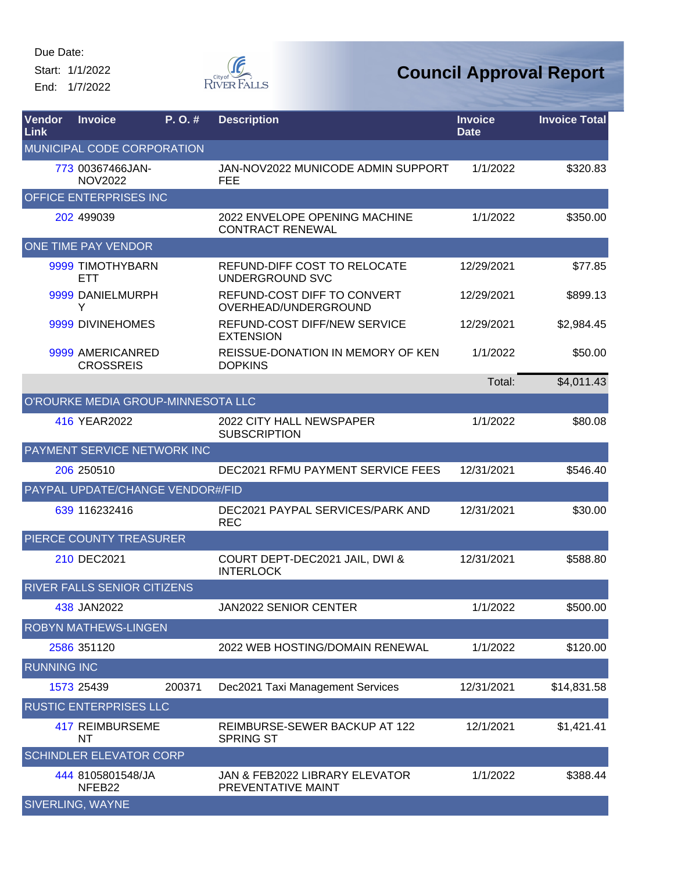Start: 1/1/2022 End: 1/7/2022



| Vendor<br>Link     | <b>Invoice</b>                       | P. O. # | <b>Description</b>                                       | <b>Invoice</b><br><b>Date</b> | <b>Invoice Total</b> |
|--------------------|--------------------------------------|---------|----------------------------------------------------------|-------------------------------|----------------------|
|                    | MUNICIPAL CODE CORPORATION           |         |                                                          |                               |                      |
|                    | 773 00367466JAN-<br><b>NOV2022</b>   |         | JAN-NOV2022 MUNICODE ADMIN SUPPORT<br><b>FEE</b>         | 1/1/2022                      | \$320.83             |
|                    | OFFICE ENTERPRISES INC               |         |                                                          |                               |                      |
|                    | 202 499039                           |         | 2022 ENVELOPE OPENING MACHINE<br><b>CONTRACT RENEWAL</b> | 1/1/2022                      | \$350.00             |
|                    | ONE TIME PAY VENDOR                  |         |                                                          |                               |                      |
|                    | 9999 TIMOTHYBARN<br>ETT              |         | REFUND-DIFF COST TO RELOCATE<br><b>UNDERGROUND SVC</b>   | 12/29/2021                    | \$77.85              |
|                    | 9999 DANIELMURPH<br>Y                |         | REFUND-COST DIFF TO CONVERT<br>OVERHEAD/UNDERGROUND      | 12/29/2021                    | \$899.13             |
|                    | 9999 DIVINEHOMES                     |         | REFUND-COST DIFF/NEW SERVICE<br><b>EXTENSION</b>         | 12/29/2021                    | \$2,984.45           |
|                    | 9999 AMERICANRED<br><b>CROSSREIS</b> |         | REISSUE-DONATION IN MEMORY OF KEN<br><b>DOPKINS</b>      | 1/1/2022                      | \$50.00              |
|                    |                                      |         |                                                          | Total:                        | \$4,011.43           |
|                    | O'ROURKE MEDIA GROUP-MINNESOTA LLC   |         |                                                          |                               |                      |
|                    | 416 YEAR2022                         |         | 2022 CITY HALL NEWSPAPER<br><b>SUBSCRIPTION</b>          | 1/1/2022                      | \$80.08              |
|                    | PAYMENT SERVICE NETWORK INC          |         |                                                          |                               |                      |
|                    | 206 250510                           |         | DEC2021 RFMU PAYMENT SERVICE FEES                        | 12/31/2021                    | \$546.40             |
|                    | PAYPAL UPDATE/CHANGE VENDOR#/FID     |         |                                                          |                               |                      |
|                    | 639 116232416                        |         | DEC2021 PAYPAL SERVICES/PARK AND<br><b>REC</b>           | 12/31/2021                    | \$30.00              |
|                    | PIERCE COUNTY TREASURER              |         |                                                          |                               |                      |
|                    | 210 DEC2021                          |         | COURT DEPT-DEC2021 JAIL, DWI &<br><b>INTERLOCK</b>       | 12/31/2021                    | \$588.80             |
|                    | <b>RIVER FALLS SENIOR CITIZENS</b>   |         |                                                          |                               |                      |
|                    | 438 JAN2022                          |         | JAN2022 SENIOR CENTER                                    | 1/1/2022                      | \$500.00             |
|                    | <b>ROBYN MATHEWS-LINGEN</b>          |         |                                                          |                               |                      |
|                    | 2586 351120                          |         | 2022 WEB HOSTING/DOMAIN RENEWAL                          | 1/1/2022                      | \$120.00             |
| <b>RUNNING INC</b> |                                      |         |                                                          |                               |                      |
|                    | 1573 25439                           | 200371  | Dec2021 Taxi Management Services                         | 12/31/2021                    | \$14,831.58          |
|                    | <b>RUSTIC ENTERPRISES LLC</b>        |         |                                                          |                               |                      |
|                    | <b>417 REIMBURSEME</b><br>NT         |         | REIMBURSE-SEWER BACKUP AT 122<br><b>SPRING ST</b>        | 12/1/2021                     | \$1,421.41           |
|                    | <b>SCHINDLER ELEVATOR CORP</b>       |         |                                                          |                               |                      |
|                    | 444 8105801548/JA<br>NFEB22          |         | JAN & FEB2022 LIBRARY ELEVATOR<br>PREVENTATIVE MAINT     | 1/1/2022                      | \$388.44             |
|                    | <b>SIVERLING, WAYNE</b>              |         |                                                          |                               |                      |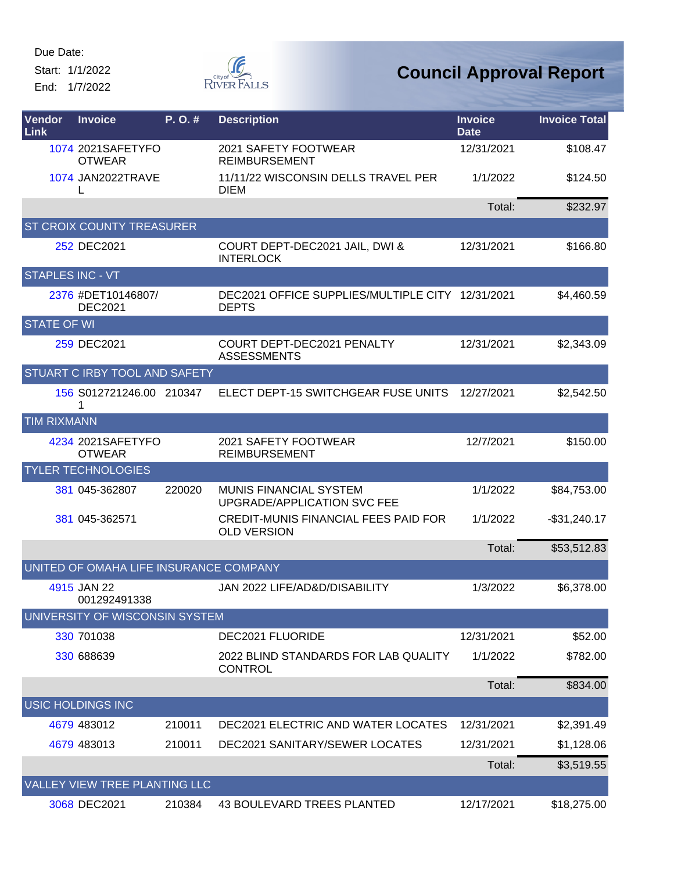Start: 1/1/2022

End: 1/7/2022



| Vendor<br>Link          | <b>Invoice</b>                         | P. O. # | <b>Description</b>                                                | <b>Invoice</b><br><b>Date</b> | <b>Invoice Total</b> |
|-------------------------|----------------------------------------|---------|-------------------------------------------------------------------|-------------------------------|----------------------|
|                         | 1074 2021SAFETYFO<br><b>OTWEAR</b>     |         | 2021 SAFETY FOOTWEAR<br><b>REIMBURSEMENT</b>                      | 12/31/2021                    | \$108.47             |
|                         | 1074 JAN2022TRAVE<br>L                 |         | 11/11/22 WISCONSIN DELLS TRAVEL PER<br>DIEM                       | 1/1/2022                      | \$124.50             |
|                         |                                        |         |                                                                   | Total:                        | \$232.97             |
|                         | <b>ST CROIX COUNTY TREASURER</b>       |         |                                                                   |                               |                      |
|                         | 252 DEC2021                            |         | COURT DEPT-DEC2021 JAIL, DWI &<br><b>INTERLOCK</b>                | 12/31/2021                    | \$166.80             |
| <b>STAPLES INC - VT</b> |                                        |         |                                                                   |                               |                      |
|                         | 2376 #DET10146807/<br><b>DEC2021</b>   |         | DEC2021 OFFICE SUPPLIES/MULTIPLE CITY 12/31/2021<br><b>DEPTS</b>  |                               | \$4,460.59           |
| <b>STATE OF WI</b>      |                                        |         |                                                                   |                               |                      |
|                         | 259 DEC2021                            |         | COURT DEPT-DEC2021 PENALTY<br><b>ASSESSMENTS</b>                  | 12/31/2021                    | \$2,343.09           |
|                         | STUART C IRBY TOOL AND SAFETY          |         |                                                                   |                               |                      |
|                         | 156 S012721246.00 210347<br>1          |         | ELECT DEPT-15 SWITCHGEAR FUSE UNITS                               | 12/27/2021                    | \$2,542.50           |
| <b>TIM RIXMANN</b>      |                                        |         |                                                                   |                               |                      |
|                         | 4234 2021SAFETYFO<br><b>OTWEAR</b>     |         | 2021 SAFETY FOOTWEAR<br><b>REIMBURSEMENT</b>                      | 12/7/2021                     | \$150.00             |
|                         | <b>TYLER TECHNOLOGIES</b>              |         |                                                                   |                               |                      |
|                         | 381 045-362807                         | 220020  | MUNIS FINANCIAL SYSTEM<br>UPGRADE/APPLICATION SVC FEE             | 1/1/2022                      | \$84,753.00          |
|                         | 381 045-362571                         |         | <b>CREDIT-MUNIS FINANCIAL FEES PAID FOR</b><br><b>OLD VERSION</b> | 1/1/2022                      | $-$31,240.17$        |
|                         |                                        |         |                                                                   | Total:                        | \$53,512.83          |
|                         | UNITED OF OMAHA LIFE INSURANCE COMPANY |         |                                                                   |                               |                      |
|                         | 4915 JAN 22<br>001292491338            |         | JAN 2022 LIFE/AD&D/DISABILITY                                     | 1/3/2022                      | \$6,378.00           |
|                         | UNIVERSITY OF WISCONSIN SYSTEM         |         |                                                                   |                               |                      |
|                         | 330 701038                             |         | DEC2021 FLUORIDE                                                  | 12/31/2021                    | \$52.00              |
|                         | 330 688639                             |         | 2022 BLIND STANDARDS FOR LAB QUALITY<br><b>CONTROL</b>            | 1/1/2022                      | \$782.00             |
|                         |                                        |         |                                                                   | Total:                        | \$834.00             |
|                         | <b>USIC HOLDINGS INC</b>               |         |                                                                   |                               |                      |
|                         | 4679 483012                            | 210011  | <b>DEC2021 ELECTRIC AND WATER LOCATES</b>                         | 12/31/2021                    | \$2,391.49           |
|                         | 4679 483013                            | 210011  | <b>DEC2021 SANITARY/SEWER LOCATES</b>                             | 12/31/2021                    | \$1,128.06           |
|                         |                                        |         |                                                                   | Total:                        | \$3,519.55           |
|                         | VALLEY VIEW TREE PLANTING LLC          |         |                                                                   |                               |                      |
|                         | 3068 DEC2021                           | 210384  | 43 BOULEVARD TREES PLANTED                                        | 12/17/2021                    | \$18,275.00          |